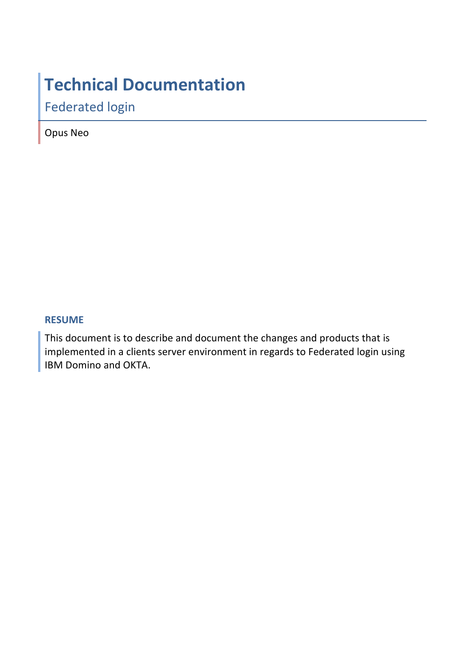# **Technical Documentation**

Federated login

Opus Neo

# **RESUME**

This document is to describe and document the changes and products that is implemented in a clients server environment in regards to Federated login using IBM Domino and OKTA.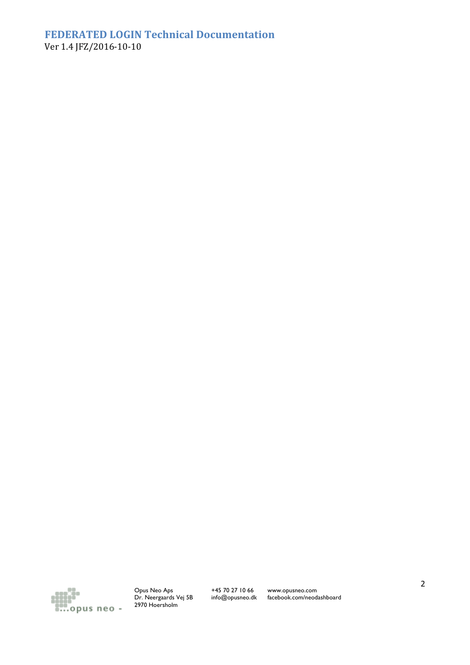

Opus Neo Aps Dr. Neergaards Vej 5B 2970 Hoersholm

+45 70 27 10 66 info@opusneo.dk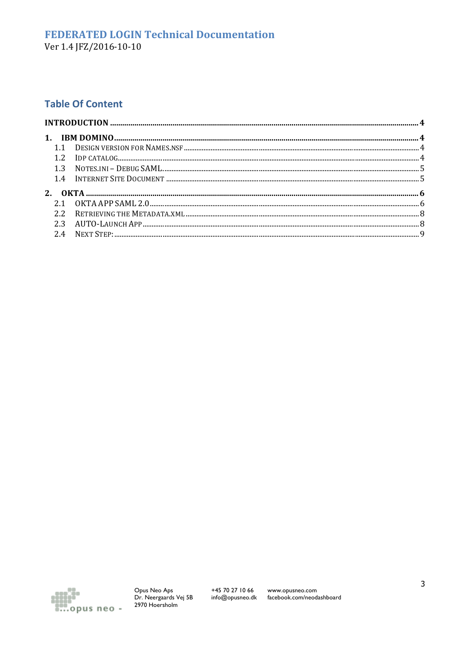# **Table Of Content**

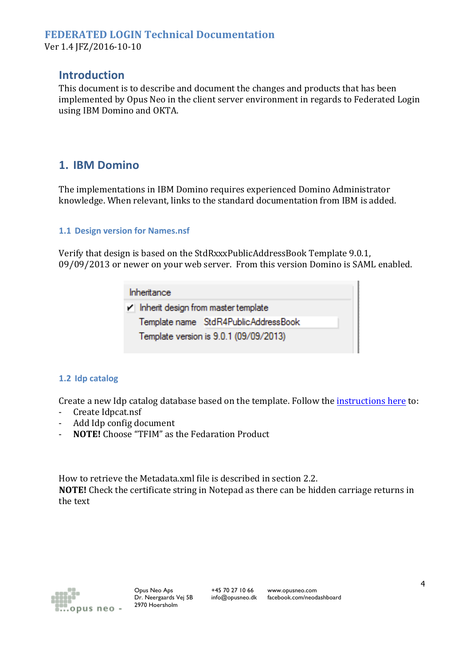# **FEDERATED LOGIN Technical Documentation**

Ver 1.4 JFZ/2016-10-10

# **Introduction**

This document is to describe and document the changes and products that has been implemented by Opus Neo in the client server environment in regards to Federated Login using IBM Domino and OKTA.

# **1. IBM Domino**

The implementations in IBM Domino requires experienced Domino Administrator knowledge. When relevant, links to the standard documentation from IBM is added.

#### **1.1 Design version for Names.nsf**

Verify that design is based on the StdRxxxPublicAddressBook Template 9.0.1, 09/09/2013 or newer on your web server. From this version Domino is SAML enabled.

| <b>Inheritance</b>                                |                                        |
|---------------------------------------------------|----------------------------------------|
| $\mathsf{r}'$ Inherit design from master template |                                        |
|                                                   | Template name StdR4PublicAddressBook   |
|                                                   | Template version is 9.0.1 (09/09/2013) |

## **1.2 Idp catalog**

Create a new Idp catalog database based on the template. Follow the instructions here to:

- Create Idpcat.nsf
- Add Idp config document
- **NOTE!** Choose "TFIM" as the Fedaration Product

How to retrieve the Metadata.xml file is described in section 2.2. **NOTE!** Check the certificate string in Notepad as there can be hidden carriage returns in the text

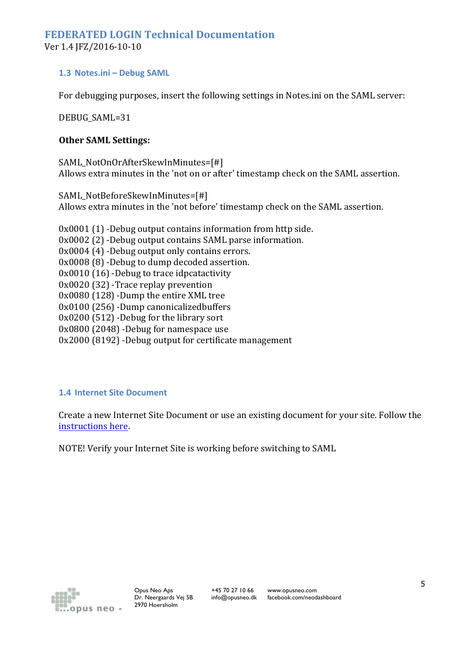#### 1.3 Notes.ini - Debug SAML

For debugging purposes, insert the following settings in Notes.ini on the SAML server:

DEBUG\_SAML=31

#### **Other SAML Settings:**

SAML\_NotOnOrAfterSkewInMinutes=[#] Allows extra minutes in the 'not on or after' timestamp check on the SAML assertion.

SAML\_NotBeforeSkewInMinutes=[#] Allows extra minutes in the 'not before' timestamp check on the SAML assertion.

 $0x0001$  (1) -Debug output contains information from http side.  $0x0002$  (2) -Debug output contains SAML parse information.  $0x0004$  (4) -Debug output only contains errors.  $0x0008(8)$  -Debug to dump decoded assertion.  $0x0010$  (16) -Debug to trace idpcatactivity 0x0020 (32) -Trace replay prevention  $0x0080$  (128) -Dump the entire XML tree  $0x0100$  (256) -Dump canonicalizedbuffers  $0x0200$  (512) -Debug for the library sort  $0x0800$  (2048) -Debug for namespace use 0x2000 (8192) -Debug output for certificate management

#### **1.4 Internet Site Document**

Create a new Internet Site Document or use an existing document for your site. Follow the instructions here.

NOTE! Verify your Internet Site is working before switching to SAML

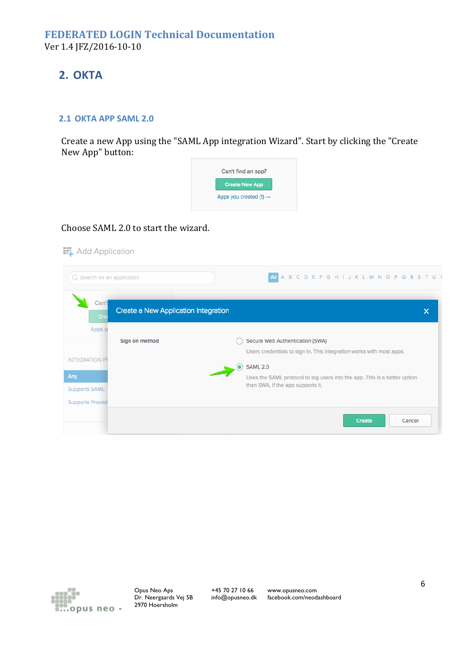# **2. OKTA**

#### **2.1 OKTA APP SAML 2.0**

Create a new App using the "SAML App integration Wizard". Start by clicking the "Create New App" button:



#### Choose SAML 2.0 to start the wizard.

**III** Add Application AI A B C D E F G H I J K L M N O P Q R S T U \ Q Search for an application

| Can't<br>Crea            | Create a New Application Integration |                                                                           | × |
|--------------------------|--------------------------------------|---------------------------------------------------------------------------|---|
| Apps yo                  |                                      |                                                                           |   |
|                          | Sign on method                       | Secure Web Authentication (SWA)                                           |   |
|                          |                                      | Users credentials to sign in. This integration works with most apps.      |   |
| <b>INTEGRATION PR</b>    |                                      | SAML <sub>2.0</sub><br>$\bullet$                                          |   |
|                          |                                      | Uses the SAML protocol to log users into the app. This is a better option |   |
| <b>Supports SAML</b>     |                                      | than SWA, If the app supports it.                                         |   |
| <b>Supports Provisio</b> |                                      |                                                                           |   |

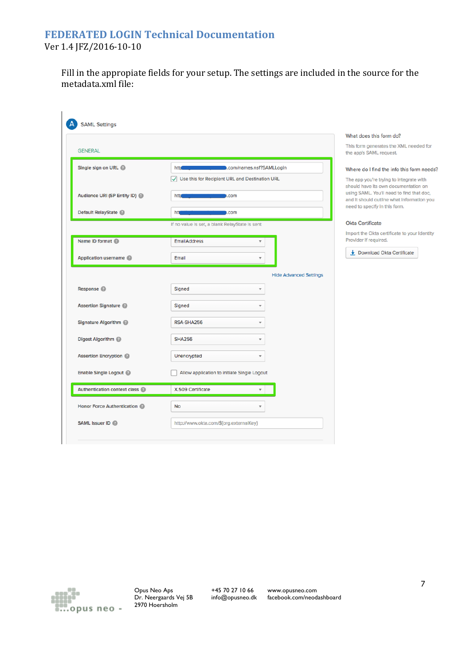# **FEDERATED LOGIN Technical Documentation**

Ver 1.4 JFZ/2016-10-10

Fill in the appropiate fields for your setup. The settings are included in the source for the metadata.xml file:

|                              |                                                     | What does this form do?                                                                 |
|------------------------------|-----------------------------------------------------|-----------------------------------------------------------------------------------------|
| <b>GENERAL</b>               |                                                     | This form generates the XML needed for<br>the app's SAML request.                       |
| Single sign on URL @         | .com/names.nsf?SAMLLogin<br>http                    | Where do I find the info this form needs?                                               |
|                              | ✓<br>Use this for Recipient URL and Destination URL | The app you're trying to Integrate with<br>should have its own documentation on         |
| Audience URI (SP Entity ID)  | http<br><b>The Manufacturer</b>                     | using SAML. You'll need to find that doc,<br>and it should outline what information you |
| Default RelayState           | htt<br><b>I.com</b>                                 | need to specify in this form.                                                           |
|                              | If no value is set, a blank RelayState is sent      | Okta Certificate                                                                        |
| Name ID format @             | <b>EmailAddress</b><br>$\overline{\mathbf v}$       | Import the Okta certificate to your Identity<br>Provider if required.                   |
| Application username         | Email<br>▼                                          | ↓ Download Okta Certificate                                                             |
|                              | <b>Hide Advanced Settings</b>                       |                                                                                         |
| Response <sup>@</sup>        | Signed<br>$\overline{\mathbf{v}}$                   |                                                                                         |
| <b>Assertion Signature</b>   | Signed<br>v                                         |                                                                                         |
| Signature Algorithm          | RSA-SHA256<br>$\overline{\mathbf v}$                |                                                                                         |
| Digest Algorithm             | <b>SHA256</b><br>÷                                  |                                                                                         |
| <b>Assertion Encryption</b>  | Unencrypted<br>▼                                    |                                                                                         |
| Enable Single Logout         | Allow application to initiate Single Logout         |                                                                                         |
| Authentication context class | X.509 Certificate<br>÷                              |                                                                                         |
| Honor Force Authentication   | <b>No</b><br>÷                                      |                                                                                         |
| SAML Issuer ID               | http://www.okta.com/\$[org.externalKey]             |                                                                                         |



Opus Neo Aps Dr. Neergaards Vej 5B 2970 Hoersholm

+45 70 27 10 66 info@opusneo.dk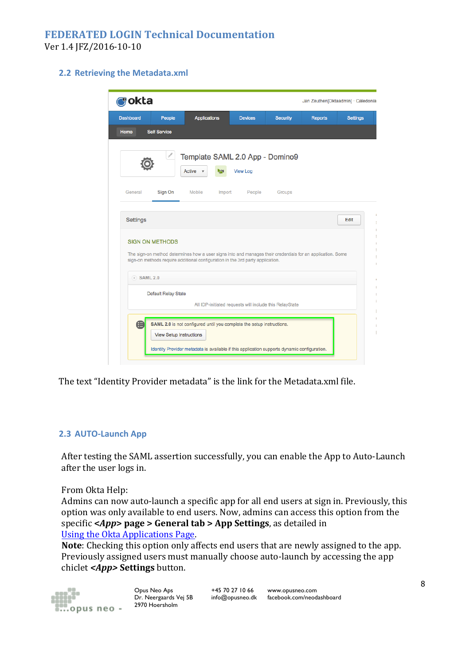#### **2.2 Retrieving the Metadata.xml**

| <b>Gokta</b>     |                                |                                                                                                                                                                                              |                                                         |                 | Jan Zeuthen[Oktaadmin] · Caledonia |                 |
|------------------|--------------------------------|----------------------------------------------------------------------------------------------------------------------------------------------------------------------------------------------|---------------------------------------------------------|-----------------|------------------------------------|-----------------|
| <b>Dashboard</b> | People                         | <b>Applications</b>                                                                                                                                                                          | <b>Devices</b>                                          | <b>Security</b> | <b>Reports</b>                     | <b>Settings</b> |
| Home             | <b>Self Service</b>            |                                                                                                                                                                                              |                                                         |                 |                                    |                 |
|                  | Í                              | Template SAML 2.0 App - Domino9<br>Active<br>K                                                                                                                                               | <b>View Log</b>                                         |                 |                                    |                 |
| General          | Sign On                        | Mobile<br>Import                                                                                                                                                                             | People                                                  | Groups          |                                    |                 |
| Settings         |                                |                                                                                                                                                                                              |                                                         |                 |                                    | Edit            |
|                  | <b>SIGN ON METHODS</b>         | The sign-on method determines how a user signs into and manages their credentials for an application. Some<br>sign-on methods require additional configuration in the 3rd party application. |                                                         |                 |                                    |                 |
| $\odot$ SAML 2.0 |                                |                                                                                                                                                                                              |                                                         |                 |                                    |                 |
|                  | <b>Default Relay State</b>     |                                                                                                                                                                                              | All IDP-initiated requests will include this RelayState |                 |                                    |                 |
| ⊜                | <b>View Setup Instructions</b> | SAML 2.0 is not configured until you complete the setup instructions.<br>Identity Provider metadata is available if this application supports dynamic configuration.                         |                                                         |                 |                                    |                 |

The text "Identity Provider metadata" is the link for the Metadata.xml file.

#### **2.3 AUTO-Launch App**

After testing the SAML assertion successfully, you can enable the App to Auto-Launch after the user logs in.

From Okta Help:

Admins can now auto-launch a specific app for all end users at sign in. Previously, this option was only available to end users. Now, admins can access this option from the specific <*App*> page > General tab > App Settings, as detailed in Using the Okta Applications Page.

Note: Checking this option only affects end users that are newly assigned to the app. Previously assigned users must manually choose auto-launch by accessing the app chiclet *<App>* **Settings** button.



Opus Neo Aps Dr. Neergaards Vej 5B 2970 Hoersholm

+45 70 27 10 66 info@opusneo.dk